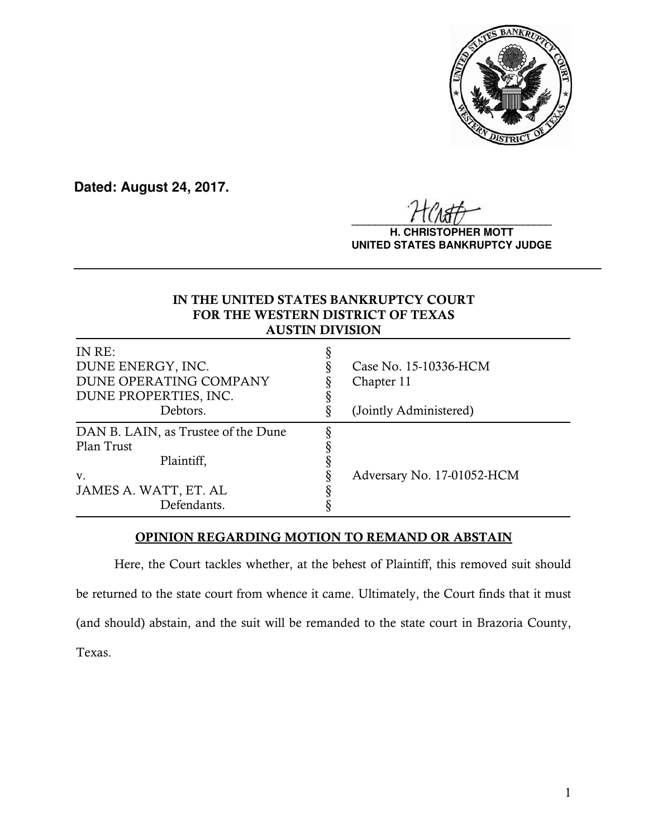

**Dated: August 24, 2017.**

 $\frac{1}{2}$ 

**H. CHRISTOPHER MOTT UNITED STATES BANKRUPTCY JUDGE**

# IN THE UNITED STATES BANKRUPTCY COURT FOR THE WESTERN DISTRICT OF TEXAS AUSTIN DIVISION

**\_\_\_\_\_\_\_\_\_\_\_\_\_\_\_\_\_\_\_\_\_\_\_\_\_\_\_\_\_\_\_\_\_\_\_\_\_\_\_\_\_\_\_\_\_\_\_\_\_\_\_\_\_\_\_\_\_\_\_\_\_\_\_\_**

| IN RE:<br>DUNE ENERGY, INC.<br>DUNE OPERATING COMPANY<br>DUNE PROPERTIES, INC. | Case No. 15-10336-HCM<br>Chapter 11 |
|--------------------------------------------------------------------------------|-------------------------------------|
| Debtors.                                                                       | (Jointly Administered)              |
| DAN B. LAIN, as Trustee of the Dune<br>Plan Trust<br>Plaintiff,                |                                     |
| V.<br>JAMES A. WATT, ET. AL<br>Defendants.                                     | Adversary No. 17-01052-HCM          |

# OPINION REGARDING MOTION TO REMAND OR ABSTAIN

Here, the Court tackles whether, at the behest of Plaintiff, this removed suit should be returned to the state court from whence it came. Ultimately, the Court finds that it must (and should) abstain, and the suit will be remanded to the state court in Brazoria County, Texas.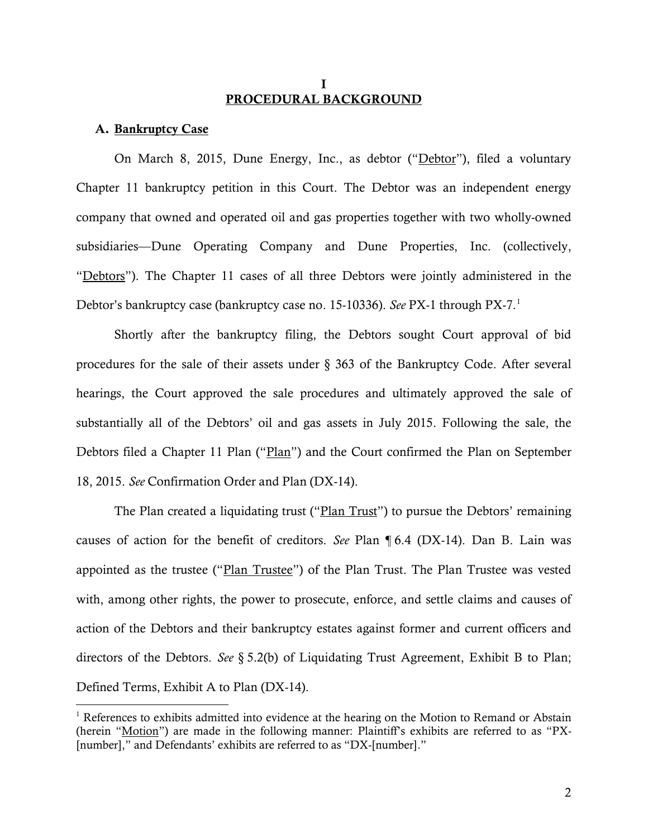### I PROCEDURAL BACKGROUND

### A. Bankruptcy Case

 $\overline{a}$ 

On March 8, 2015, Dune Energy, Inc., as debtor ("Debtor"), filed a voluntary Chapter 11 bankruptcy petition in this Court. The Debtor was an independent energy company that owned and operated oil and gas properties together with two wholly-owned subsidiaries—Dune Operating Company and Dune Properties, Inc. (collectively, "Debtors"). The Chapter 11 cases of all three Debtors were jointly administered in the Debtor's bankruptcy case (bankruptcy case no. 15-10336). *See* PX-1 through PX-7.1

Shortly after the bankruptcy filing, the Debtors sought Court approval of bid procedures for the sale of their assets under § 363 of the Bankruptcy Code. After several hearings, the Court approved the sale procedures and ultimately approved the sale of substantially all of the Debtors' oil and gas assets in July 2015. Following the sale, the Debtors filed a Chapter 11 Plan ("Plan") and the Court confirmed the Plan on September 18, 2015. *See* Confirmation Order and Plan (DX-14).

The Plan created a liquidating trust ("Plan Trust") to pursue the Debtors' remaining causes of action for the benefit of creditors. *See* Plan ¶ 6.4 (DX-14). Dan B. Lain was appointed as the trustee ("Plan Trustee") of the Plan Trust. The Plan Trustee was vested with, among other rights, the power to prosecute, enforce, and settle claims and causes of action of the Debtors and their bankruptcy estates against former and current officers and directors of the Debtors. *See* § 5.2(b) of Liquidating Trust Agreement, Exhibit B to Plan; Defined Terms, Exhibit A to Plan (DX-14).

 $1$  References to exhibits admitted into evidence at the hearing on the Motion to Remand or Abstain (herein "Motion") are made in the following manner: Plaintiff's exhibits are referred to as "PX- [number]," and Defendants' exhibits are referred to as "DX-[number]."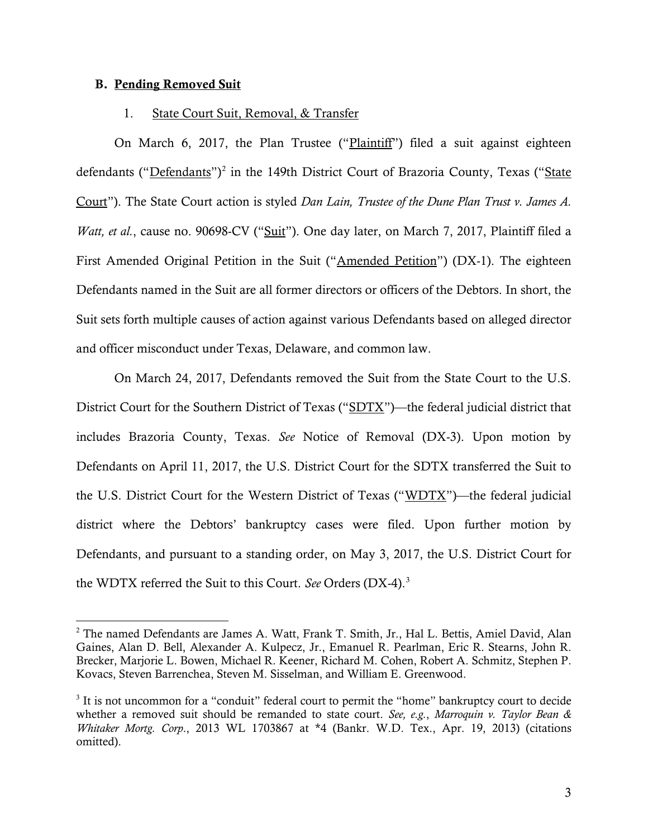### B. Pending Removed Suit

 $\overline{a}$ 

### 1. State Court Suit, Removal, & Transfer

On March 6, 2017, the Plan Trustee ("Plaintiff") filed a suit against eighteen defendants ("Defendants")<sup>2</sup> in the 149th District Court of Brazoria County, Texas ("State Court"). The State Court action is styled *Dan Lain, Trustee of the Dune Plan Trust v. James A. Watt, et al.*, cause no. 90698-CV ("Suit"). One day later, on March 7, 2017, Plaintiff filed a First Amended Original Petition in the Suit ("Amended Petition") (DX-1). The eighteen Defendants named in the Suit are all former directors or officers of the Debtors. In short, the Suit sets forth multiple causes of action against various Defendants based on alleged director and officer misconduct under Texas, Delaware, and common law.

On March 24, 2017, Defendants removed the Suit from the State Court to the U.S. District Court for the Southern District of Texas ("SDTX")—the federal judicial district that includes Brazoria County, Texas. *See* Notice of Removal (DX-3). Upon motion by Defendants on April 11, 2017, the U.S. District Court for the SDTX transferred the Suit to the U.S. District Court for the Western District of Texas ("WDTX")—the federal judicial district where the Debtors' bankruptcy cases were filed. Upon further motion by Defendants, and pursuant to a standing order, on May 3, 2017, the U.S. District Court for the WDTX referred the Suit to this Court. *See* Orders (DX-4).3

<sup>&</sup>lt;sup>2</sup> The named Defendants are James A. Watt, Frank T. Smith, Jr., Hal L. Bettis, Amiel David, Alan Gaines, Alan D. Bell, Alexander A. Kulpecz, Jr., Emanuel R. Pearlman, Eric R. Stearns, John R. Brecker, Marjorie L. Bowen, Michael R. Keener, Richard M. Cohen, Robert A. Schmitz, Stephen P. Kovacs, Steven Barrenchea, Steven M. Sisselman, and William E. Greenwood.

<sup>&</sup>lt;sup>3</sup> It is not uncommon for a "conduit" federal court to permit the "home" bankruptcy court to decide whether a removed suit should be remanded to state court. *See, e.g.*, *Marroquin v. Taylor Bean & Whitaker Mortg. Corp*., 2013 WL 1703867 at \*4 (Bankr. W.D. Tex., Apr. 19, 2013) (citations omitted).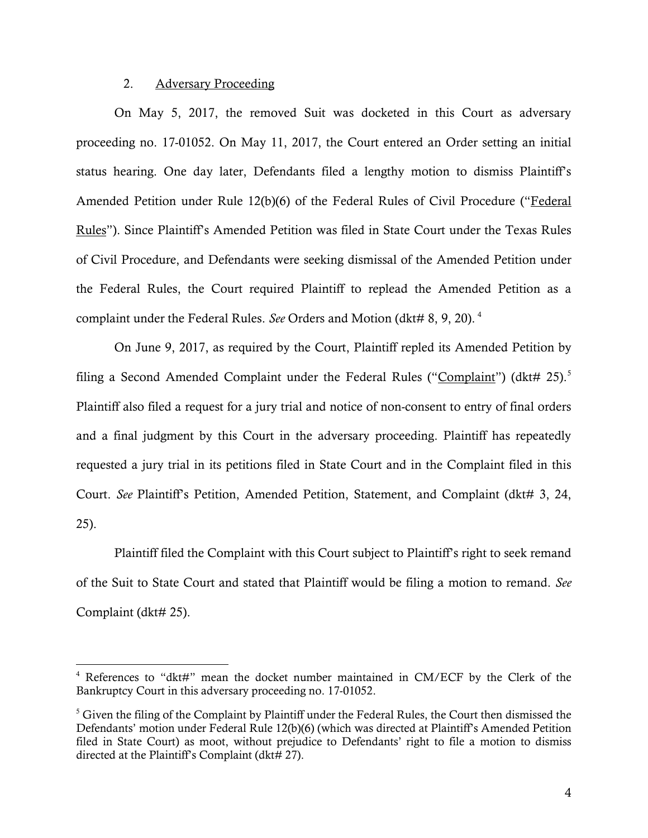# 2. Adversary Proceeding

 $\overline{a}$ 

On May 5, 2017, the removed Suit was docketed in this Court as adversary proceeding no. 17-01052. On May 11, 2017, the Court entered an Order setting an initial status hearing. One day later, Defendants filed a lengthy motion to dismiss Plaintiff's Amended Petition under Rule 12(b)(6) of the Federal Rules of Civil Procedure ("Federal Rules"). Since Plaintiff's Amended Petition was filed in State Court under the Texas Rules of Civil Procedure, and Defendants were seeking dismissal of the Amended Petition under the Federal Rules, the Court required Plaintiff to replead the Amended Petition as a complaint under the Federal Rules. *See* Orders and Motion (dkt# 8, 9, 20).<sup>4</sup>

On June 9, 2017, as required by the Court, Plaintiff repled its Amended Petition by filing a Second Amended Complaint under the Federal Rules ("Complaint") (dkt# 25).<sup>5</sup> Plaintiff also filed a request for a jury trial and notice of non-consent to entry of final orders and a final judgment by this Court in the adversary proceeding. Plaintiff has repeatedly requested a jury trial in its petitions filed in State Court and in the Complaint filed in this Court. *See* Plaintiff's Petition, Amended Petition, Statement, and Complaint (dkt# 3, 24, 25).

Plaintiff filed the Complaint with this Court subject to Plaintiff's right to seek remand of the Suit to State Court and stated that Plaintiff would be filing a motion to remand. *See*  Complaint (dkt# 25).

<sup>4</sup> References to "dkt#" mean the docket number maintained in CM/ECF by the Clerk of the Bankruptcy Court in this adversary proceeding no. 17-01052.

 $<sup>5</sup>$  Given the filing of the Complaint by Plaintiff under the Federal Rules, the Court then dismissed the</sup> Defendants' motion under Federal Rule 12(b)(6) (which was directed at Plaintiff's Amended Petition filed in State Court) as moot, without prejudice to Defendants' right to file a motion to dismiss directed at the Plaintiff's Complaint (dkt# 27).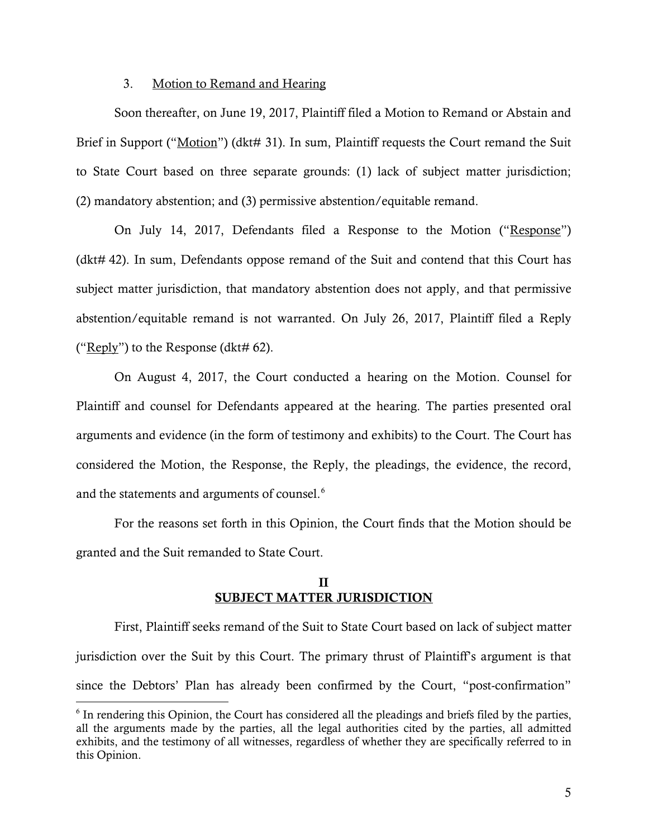### 3. Motion to Remand and Hearing

 Soon thereafter, on June 19, 2017, Plaintiff filed a Motion to Remand or Abstain and Brief in Support ("Motion") (dkt# 31). In sum, Plaintiff requests the Court remand the Suit to State Court based on three separate grounds: (1) lack of subject matter jurisdiction; (2) mandatory abstention; and (3) permissive abstention/equitable remand.

On July 14, 2017, Defendants filed a Response to the Motion ("Response") (dkt# 42). In sum, Defendants oppose remand of the Suit and contend that this Court has subject matter jurisdiction, that mandatory abstention does not apply, and that permissive abstention/equitable remand is not warranted. On July 26, 2017, Plaintiff filed a Reply ("Reply") to the Response (dkt# 62).

On August 4, 2017, the Court conducted a hearing on the Motion. Counsel for Plaintiff and counsel for Defendants appeared at the hearing. The parties presented oral arguments and evidence (in the form of testimony and exhibits) to the Court. The Court has considered the Motion, the Response, the Reply, the pleadings, the evidence, the record, and the statements and arguments of counsel. $6$ 

For the reasons set forth in this Opinion, the Court finds that the Motion should be granted and the Suit remanded to State Court.

# II SUBJECT MATTER JURISDICTION

First, Plaintiff seeks remand of the Suit to State Court based on lack of subject matter jurisdiction over the Suit by this Court. The primary thrust of Plaintiff's argument is that since the Debtors' Plan has already been confirmed by the Court, "post-confirmation"

 $\overline{a}$ 

<sup>6</sup> In rendering this Opinion, the Court has considered all the pleadings and briefs filed by the parties, all the arguments made by the parties, all the legal authorities cited by the parties, all admitted exhibits, and the testimony of all witnesses, regardless of whether they are specifically referred to in this Opinion.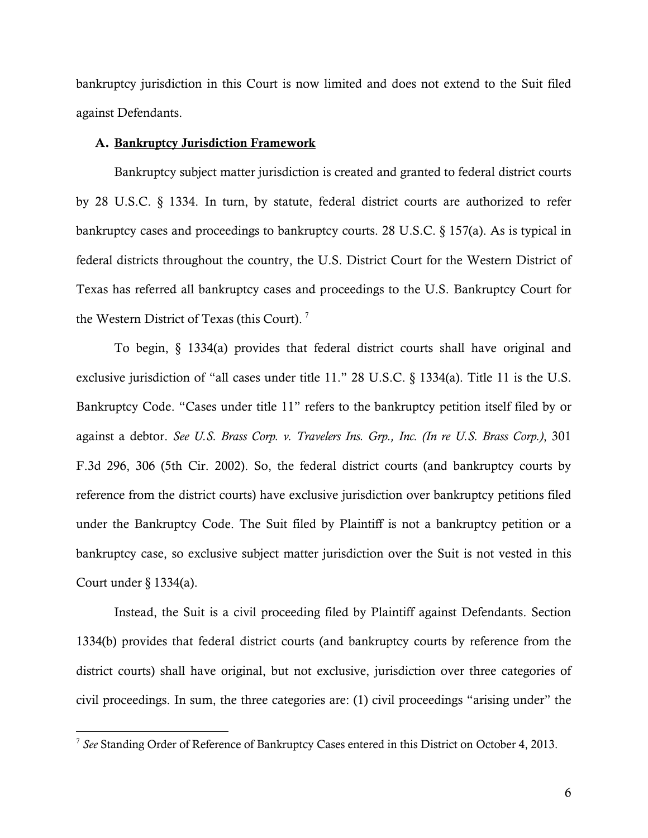bankruptcy jurisdiction in this Court is now limited and does not extend to the Suit filed against Defendants.

### A. Bankruptcy Jurisdiction Framework

Bankruptcy subject matter jurisdiction is created and granted to federal district courts by 28 U.S.C. § 1334. In turn, by statute, federal district courts are authorized to refer bankruptcy cases and proceedings to bankruptcy courts. 28 U.S.C. § 157(a). As is typical in federal districts throughout the country, the U.S. District Court for the Western District of Texas has referred all bankruptcy cases and proceedings to the U.S. Bankruptcy Court for the Western District of Texas (this Court).<sup>7</sup>

To begin, § 1334(a) provides that federal district courts shall have original and exclusive jurisdiction of "all cases under title 11." 28 U.S.C. § 1334(a). Title 11 is the U.S. Bankruptcy Code. "Cases under title 11" refers to the bankruptcy petition itself filed by or against a debtor. *See U.S. Brass Corp. v. Travelers Ins. Grp., Inc. (In re U.S. Brass Corp.)*, 301 F.3d 296, 306 (5th Cir. 2002). So, the federal district courts (and bankruptcy courts by reference from the district courts) have exclusive jurisdiction over bankruptcy petitions filed under the Bankruptcy Code. The Suit filed by Plaintiff is not a bankruptcy petition or a bankruptcy case, so exclusive subject matter jurisdiction over the Suit is not vested in this Court under § 1334(a).

Instead, the Suit is a civil proceeding filed by Plaintiff against Defendants. Section 1334(b) provides that federal district courts (and bankruptcy courts by reference from the district courts) shall have original, but not exclusive, jurisdiction over three categories of civil proceedings. In sum, the three categories are: (1) civil proceedings "arising under" the

 $\overline{a}$ 

<sup>7</sup> *See* Standing Order of Reference of Bankruptcy Cases entered in this District on October 4, 2013.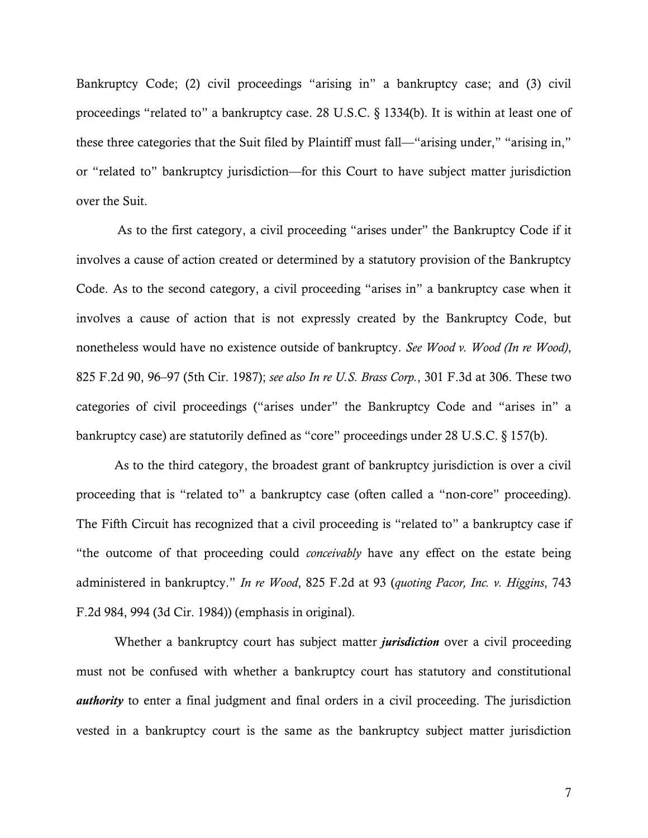Bankruptcy Code; (2) civil proceedings "arising in" a bankruptcy case; and (3) civil proceedings "related to" a bankruptcy case. 28 U.S.C. § 1334(b). It is within at least one of these three categories that the Suit filed by Plaintiff must fall—"arising under," "arising in," or "related to" bankruptcy jurisdiction—for this Court to have subject matter jurisdiction over the Suit.

 As to the first category, a civil proceeding "arises under" the Bankruptcy Code if it involves a cause of action created or determined by a statutory provision of the Bankruptcy Code. As to the second category, a civil proceeding "arises in" a bankruptcy case when it involves a cause of action that is not expressly created by the Bankruptcy Code, but nonetheless would have no existence outside of bankruptcy. *See Wood v. Wood (In re Wood)*, 825 F.2d 90, 96–97 (5th Cir. 1987); *see also In re U.S. Brass Corp.*, 301 F.3d at 306. These two categories of civil proceedings ("arises under" the Bankruptcy Code and "arises in" a bankruptcy case) are statutorily defined as "core" proceedings under 28 U.S.C. § 157(b).

As to the third category, the broadest grant of bankruptcy jurisdiction is over a civil proceeding that is "related to" a bankruptcy case (often called a "non-core" proceeding). The Fifth Circuit has recognized that a civil proceeding is "related to" a bankruptcy case if "the outcome of that proceeding could *conceivably* have any effect on the estate being administered in bankruptcy." *In re Wood*, 825 F.2d at 93 (*quoting Pacor, Inc. v. Higgins*, 743 F.2d 984, 994 (3d Cir. 1984)) (emphasis in original).

Whether a bankruptcy court has subject matter *jurisdiction* over a civil proceeding must not be confused with whether a bankruptcy court has statutory and constitutional *authority* to enter a final judgment and final orders in a civil proceeding. The jurisdiction vested in a bankruptcy court is the same as the bankruptcy subject matter jurisdiction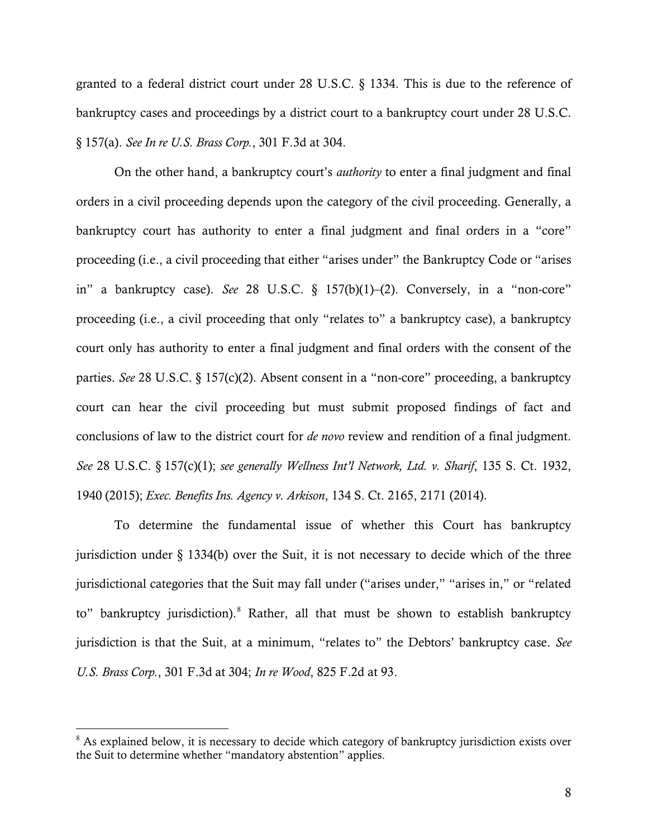granted to a federal district court under 28 U.S.C. § 1334. This is due to the reference of bankruptcy cases and proceedings by a district court to a bankruptcy court under 28 U.S.C. § 157(a). *See In re U.S. Brass Corp.*, 301 F.3d at 304.

On the other hand, a bankruptcy court's *authority* to enter a final judgment and final orders in a civil proceeding depends upon the category of the civil proceeding. Generally, a bankruptcy court has authority to enter a final judgment and final orders in a "core" proceeding (i.e., a civil proceeding that either "arises under" the Bankruptcy Code or "arises in" a bankruptcy case). *See* 28 U.S.C. § 157(b)(1)–(2). Conversely, in a "non-core" proceeding (i.e., a civil proceeding that only "relates to" a bankruptcy case), a bankruptcy court only has authority to enter a final judgment and final orders with the consent of the parties. *See* 28 U.S.C. § 157(c)(2). Absent consent in a "non-core" proceeding, a bankruptcy court can hear the civil proceeding but must submit proposed findings of fact and conclusions of law to the district court for *de novo* review and rendition of a final judgment. *See* 28 U.S.C. § 157(c)(1); *see generally Wellness Int'l Network, Ltd. v. Sharif*, 135 S. Ct. 1932, 1940 (2015); *Exec. Benefits Ins. Agency v. Arkison*, 134 S. Ct. 2165, 2171 (2014).

To determine the fundamental issue of whether this Court has bankruptcy jurisdiction under § 1334(b) over the Suit, it is not necessary to decide which of the three jurisdictional categories that the Suit may fall under ("arises under," "arises in," or "related to" bankruptcy jurisdiction).<sup>8</sup> Rather, all that must be shown to establish bankruptcy jurisdiction is that the Suit, at a minimum, "relates to" the Debtors' bankruptcy case. *See U.S. Brass Corp.*, 301 F.3d at 304; *In re Wood*, 825 F.2d at 93.

 $\overline{a}$ 

<sup>&</sup>lt;sup>8</sup> As explained below, it is necessary to decide which category of bankruptcy jurisdiction exists over the Suit to determine whether "mandatory abstention" applies.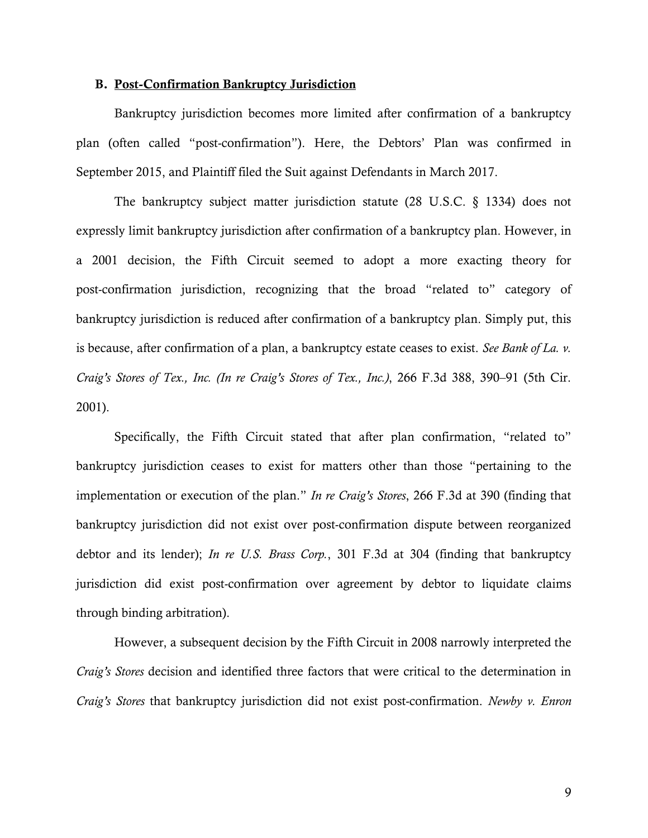#### B. Post-Confirmation Bankruptcy Jurisdiction

Bankruptcy jurisdiction becomes more limited after confirmation of a bankruptcy plan (often called "post-confirmation"). Here, the Debtors' Plan was confirmed in September 2015, and Plaintiff filed the Suit against Defendants in March 2017.

 The bankruptcy subject matter jurisdiction statute (28 U.S.C. § 1334) does not expressly limit bankruptcy jurisdiction after confirmation of a bankruptcy plan. However, in a 2001 decision, the Fifth Circuit seemed to adopt a more exacting theory for post-confirmation jurisdiction, recognizing that the broad "related to" category of bankruptcy jurisdiction is reduced after confirmation of a bankruptcy plan. Simply put, this is because, after confirmation of a plan, a bankruptcy estate ceases to exist. *See Bank of La. v. Craig's Stores of Tex., Inc. (In re Craig's Stores of Tex., Inc.)*, 266 F.3d 388, 390–91 (5th Cir. 2001).

Specifically, the Fifth Circuit stated that after plan confirmation, "related to" bankruptcy jurisdiction ceases to exist for matters other than those "pertaining to the implementation or execution of the plan." *In re Craig's Stores*, 266 F.3d at 390 (finding that bankruptcy jurisdiction did not exist over post-confirmation dispute between reorganized debtor and its lender); *In re U.S. Brass Corp.*, 301 F.3d at 304 (finding that bankruptcy jurisdiction did exist post-confirmation over agreement by debtor to liquidate claims through binding arbitration).

However, a subsequent decision by the Fifth Circuit in 2008 narrowly interpreted the *Craig's Stores* decision and identified three factors that were critical to the determination in *Craig's Stores* that bankruptcy jurisdiction did not exist post-confirmation. *Newby v. Enron*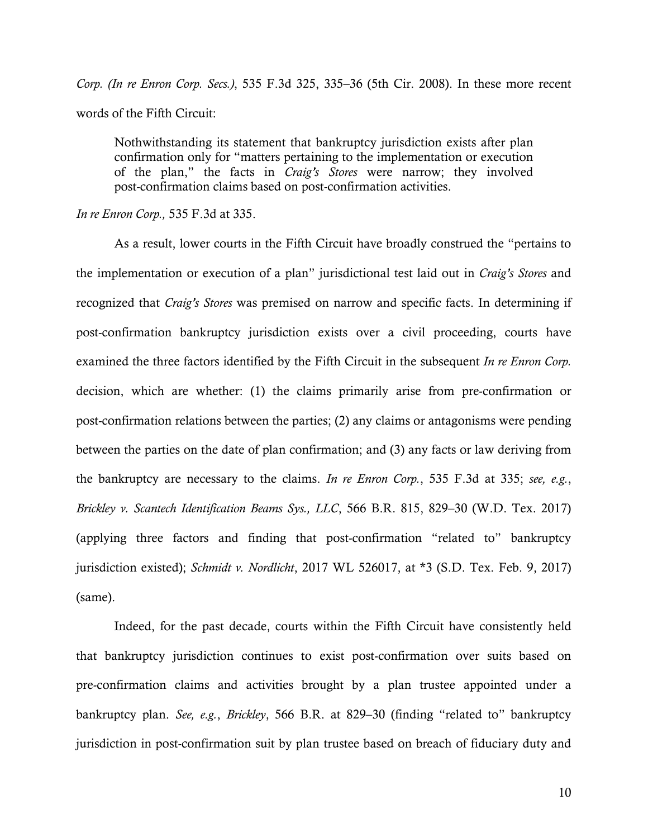*Corp. (In re Enron Corp. Secs.)*, 535 F.3d 325, 335–36 (5th Cir. 2008). In these more recent words of the Fifth Circuit:

Nothwithstanding its statement that bankruptcy jurisdiction exists after plan confirmation only for "matters pertaining to the implementation or execution of the plan," the facts in *Craig's Stores* were narrow; they involved post-confirmation claims based on post-confirmation activities.

#### *In re Enron Corp.,* 535 F.3d at 335.

As a result, lower courts in the Fifth Circuit have broadly construed the "pertains to the implementation or execution of a plan" jurisdictional test laid out in *Craig's Stores* and recognized that *Craig's Stores* was premised on narrow and specific facts. In determining if post-confirmation bankruptcy jurisdiction exists over a civil proceeding, courts have examined the three factors identified by the Fifth Circuit in the subsequent *In re Enron Corp.* decision, which are whether: (1) the claims primarily arise from pre-confirmation or post-confirmation relations between the parties; (2) any claims or antagonisms were pending between the parties on the date of plan confirmation; and (3) any facts or law deriving from the bankruptcy are necessary to the claims. *In re Enron Corp.*, 535 F.3d at 335; *see, e.g.*, *Brickley v. Scantech Identification Beams Sys., LLC*, 566 B.R. 815, 829–30 (W.D. Tex. 2017) (applying three factors and finding that post-confirmation "related to" bankruptcy jurisdiction existed); *Schmidt v. Nordlicht*, 2017 WL 526017, at \*3 (S.D. Tex. Feb. 9, 2017) (same).

Indeed, for the past decade, courts within the Fifth Circuit have consistently held that bankruptcy jurisdiction continues to exist post-confirmation over suits based on pre-confirmation claims and activities brought by a plan trustee appointed under a bankruptcy plan. *See, e.g.*, *Brickley*, 566 B.R. at 829–30 (finding "related to" bankruptcy jurisdiction in post-confirmation suit by plan trustee based on breach of fiduciary duty and

10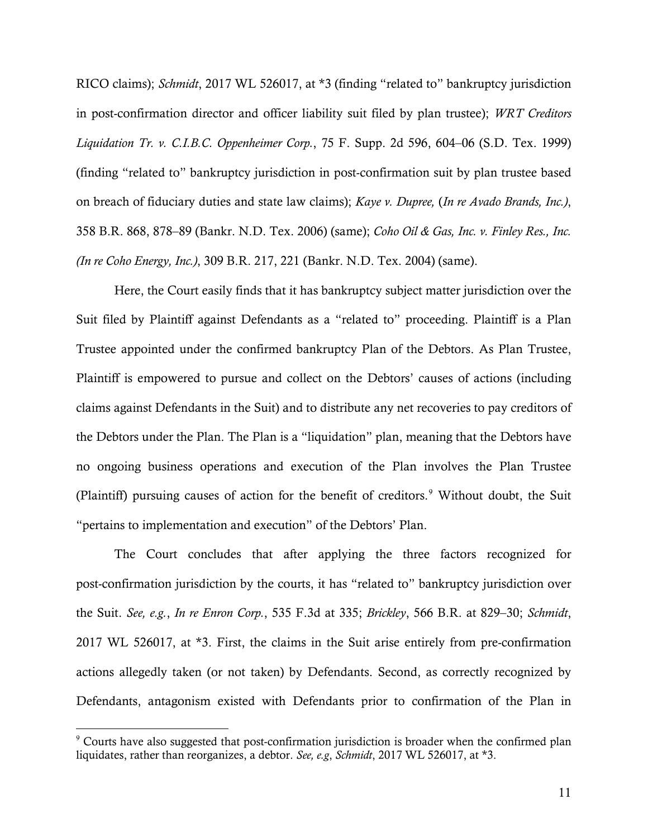RICO claims); *Schmidt*, 2017 WL 526017, at \*3 (finding "related to" bankruptcy jurisdiction in post-confirmation director and officer liability suit filed by plan trustee); *WRT Creditors Liquidation Tr. v. C.I.B.C. Oppenheimer Corp.*, 75 F. Supp. 2d 596, 604–06 (S.D. Tex. 1999) (finding "related to" bankruptcy jurisdiction in post-confirmation suit by plan trustee based on breach of fiduciary duties and state law claims); *Kaye v. Dupree,* (*In re Avado Brands, Inc.)*, 358 B.R. 868, 878–89 (Bankr. N.D. Tex. 2006) (same); *Coho Oil & Gas, Inc. v. Finley Res., Inc. (In re Coho Energy, Inc.)*, 309 B.R. 217, 221 (Bankr. N.D. Tex. 2004) (same).

Here, the Court easily finds that it has bankruptcy subject matter jurisdiction over the Suit filed by Plaintiff against Defendants as a "related to" proceeding. Plaintiff is a Plan Trustee appointed under the confirmed bankruptcy Plan of the Debtors. As Plan Trustee, Plaintiff is empowered to pursue and collect on the Debtors' causes of actions (including claims against Defendants in the Suit) and to distribute any net recoveries to pay creditors of the Debtors under the Plan. The Plan is a "liquidation" plan, meaning that the Debtors have no ongoing business operations and execution of the Plan involves the Plan Trustee (Plaintiff) pursuing causes of action for the benefit of creditors.<sup>9</sup> Without doubt, the Suit "pertains to implementation and execution" of the Debtors' Plan.

The Court concludes that after applying the three factors recognized for post-confirmation jurisdiction by the courts, it has "related to" bankruptcy jurisdiction over the Suit. *See, e.g.*, *In re Enron Corp.*, 535 F.3d at 335; *Brickley*, 566 B.R. at 829–30; *Schmidt*, 2017 WL 526017, at \*3. First, the claims in the Suit arise entirely from pre-confirmation actions allegedly taken (or not taken) by Defendants. Second, as correctly recognized by Defendants, antagonism existed with Defendants prior to confirmation of the Plan in

 9 Courts have also suggested that post-confirmation jurisdiction is broader when the confirmed plan liquidates, rather than reorganizes, a debtor. *See, e.g*, *Schmidt*, 2017 WL 526017, at \*3.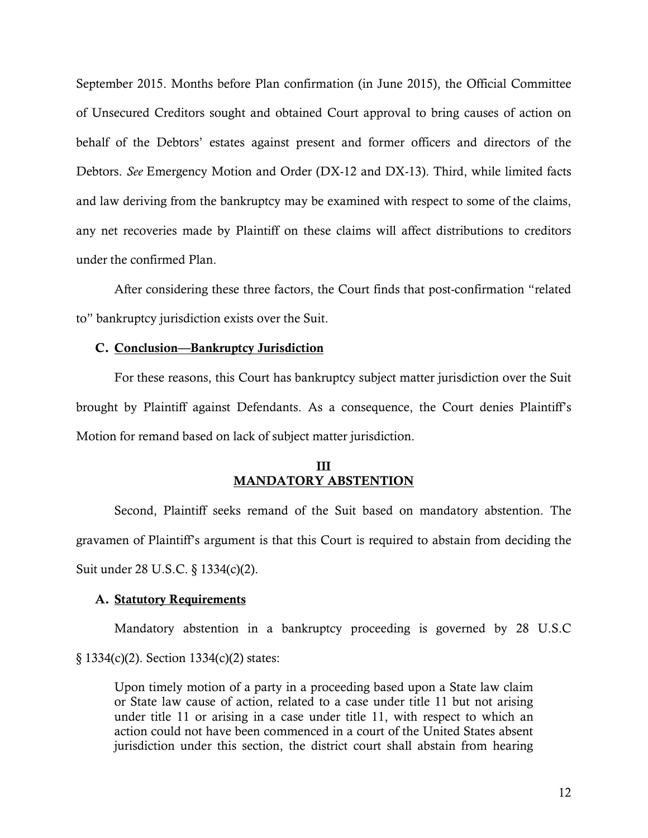September 2015. Months before Plan confirmation (in June 2015), the Official Committee of Unsecured Creditors sought and obtained Court approval to bring causes of action on behalf of the Debtors' estates against present and former officers and directors of the Debtors. *See* Emergency Motion and Order (DX-12 and DX-13). Third, while limited facts and law deriving from the bankruptcy may be examined with respect to some of the claims, any net recoveries made by Plaintiff on these claims will affect distributions to creditors under the confirmed Plan.

After considering these three factors, the Court finds that post-confirmation "related to" bankruptcy jurisdiction exists over the Suit.

### C. Conclusion—Bankruptcy Jurisdiction

For these reasons, this Court has bankruptcy subject matter jurisdiction over the Suit brought by Plaintiff against Defendants. As a consequence, the Court denies Plaintiff's Motion for remand based on lack of subject matter jurisdiction.

# III MANDATORY ABSTENTION

Second, Plaintiff seeks remand of the Suit based on mandatory abstention. The gravamen of Plaintiff's argument is that this Court is required to abstain from deciding the Suit under 28 U.S.C. § 1334(c)(2).

### A. Statutory Requirements

Mandatory abstention in a bankruptcy proceeding is governed by 28 U.S.C § 1334(c)(2). Section 1334(c)(2) states:

Upon timely motion of a party in a proceeding based upon a State law claim or State law cause of action, related to a case under title 11 but not arising under title 11 or arising in a case under title 11, with respect to which an action could not have been commenced in a court of the United States absent jurisdiction under this section, the district court shall abstain from hearing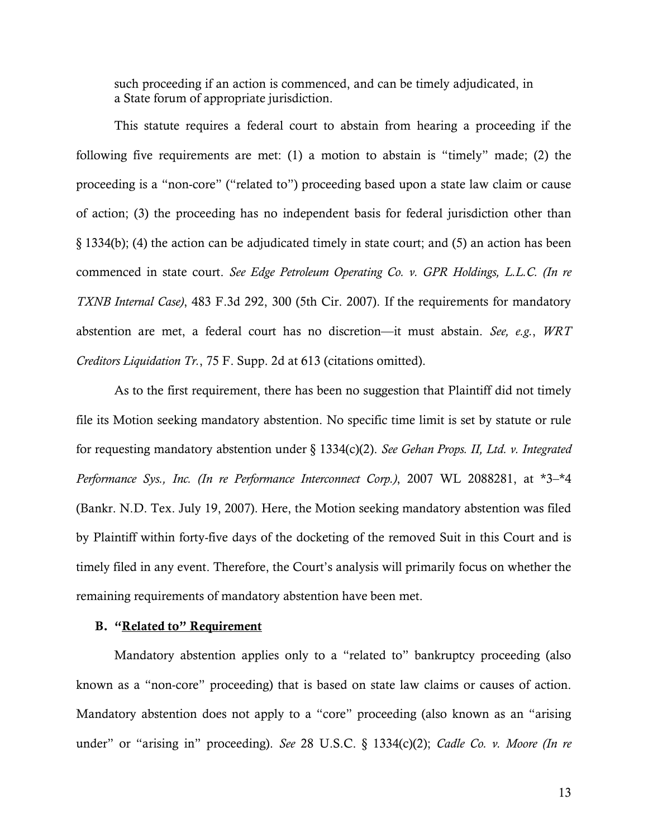such proceeding if an action is commenced, and can be timely adjudicated, in a State forum of appropriate jurisdiction.

This statute requires a federal court to abstain from hearing a proceeding if the following five requirements are met: (1) a motion to abstain is "timely" made; (2) the proceeding is a "non-core" ("related to") proceeding based upon a state law claim or cause of action; (3) the proceeding has no independent basis for federal jurisdiction other than § 1334(b); (4) the action can be adjudicated timely in state court; and (5) an action has been commenced in state court. *See Edge Petroleum Operating Co. v. GPR Holdings, L.L.C. (In re TXNB Internal Case)*, 483 F.3d 292, 300 (5th Cir. 2007). If the requirements for mandatory abstention are met, a federal court has no discretion—it must abstain. *See, e.g.*, *WRT Creditors Liquidation Tr.*, 75 F. Supp. 2d at 613 (citations omitted).

As to the first requirement, there has been no suggestion that Plaintiff did not timely file its Motion seeking mandatory abstention. No specific time limit is set by statute or rule for requesting mandatory abstention under § 1334(c)(2). *See Gehan Props. II, Ltd. v. Integrated Performance Sys., Inc. (In re Performance Interconnect Corp.)*, 2007 WL 2088281, at \*3–\*4 (Bankr. N.D. Tex. July 19, 2007). Here, the Motion seeking mandatory abstention was filed by Plaintiff within forty-five days of the docketing of the removed Suit in this Court and is timely filed in any event. Therefore, the Court's analysis will primarily focus on whether the remaining requirements of mandatory abstention have been met.

### B. "Related to" Requirement

 Mandatory abstention applies only to a "related to" bankruptcy proceeding (also known as a "non-core" proceeding) that is based on state law claims or causes of action. Mandatory abstention does not apply to a "core" proceeding (also known as an "arising under" or "arising in" proceeding). *See* 28 U.S.C. § 1334(c)(2); *Cadle Co. v. Moore (In re*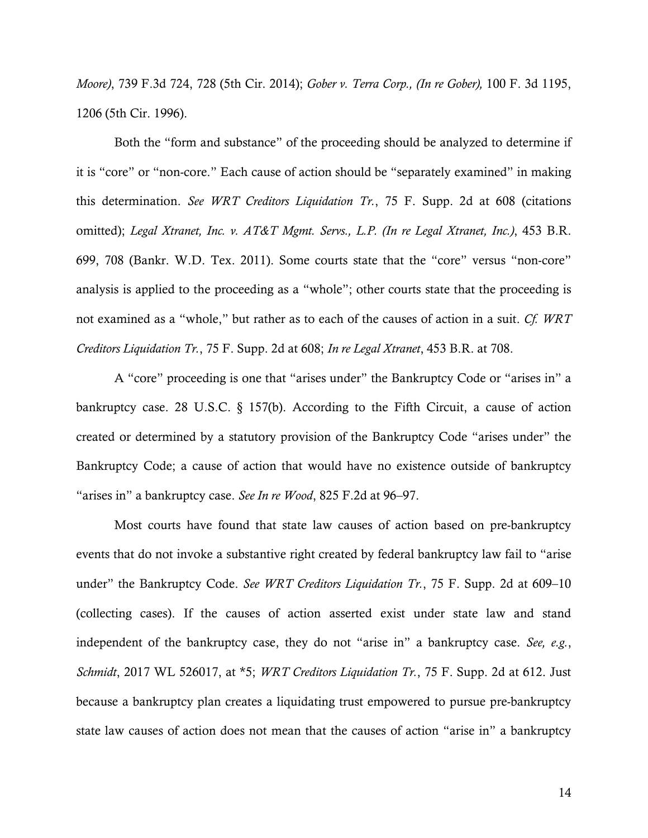*Moore)*, 739 F.3d 724, 728 (5th Cir. 2014); *Gober v. Terra Corp., (In re Gober),* 100 F. 3d 1195, 1206 (5th Cir. 1996).

 Both the "form and substance" of the proceeding should be analyzed to determine if it is "core" or "non-core." Each cause of action should be "separately examined" in making this determination. *See WRT Creditors Liquidation Tr.*, 75 F. Supp. 2d at 608 (citations omitted); *Legal Xtranet, Inc. v. AT&T Mgmt. Servs., L.P. (In re Legal Xtranet, Inc.)*, 453 B.R. 699, 708 (Bankr. W.D. Tex. 2011). Some courts state that the "core" versus "non-core" analysis is applied to the proceeding as a "whole"; other courts state that the proceeding is not examined as a "whole," but rather as to each of the causes of action in a suit. *Cf. WRT Creditors Liquidation Tr.*, 75 F. Supp. 2d at 608; *In re Legal Xtranet*, 453 B.R. at 708.

 A "core" proceeding is one that "arises under" the Bankruptcy Code or "arises in" a bankruptcy case. 28 U.S.C. § 157(b). According to the Fifth Circuit, a cause of action created or determined by a statutory provision of the Bankruptcy Code "arises under" the Bankruptcy Code; a cause of action that would have no existence outside of bankruptcy "arises in" a bankruptcy case. *See In re Wood*, 825 F.2d at 96–97.

Most courts have found that state law causes of action based on pre-bankruptcy events that do not invoke a substantive right created by federal bankruptcy law fail to "arise under" the Bankruptcy Code. *See WRT Creditors Liquidation Tr.*, 75 F. Supp. 2d at 609–10 (collecting cases). If the causes of action asserted exist under state law and stand independent of the bankruptcy case, they do not "arise in" a bankruptcy case. *See, e.g.*, *Schmidt*, 2017 WL 526017, at \*5; *WRT Creditors Liquidation Tr.*, 75 F. Supp. 2d at 612. Just because a bankruptcy plan creates a liquidating trust empowered to pursue pre-bankruptcy state law causes of action does not mean that the causes of action "arise in" a bankruptcy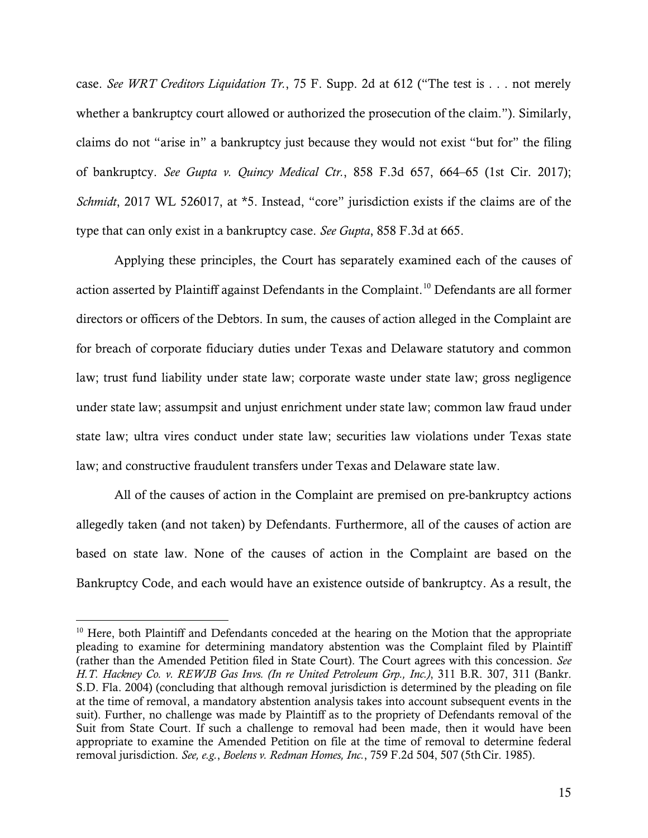case. *See WRT Creditors Liquidation Tr.*, 75 F. Supp. 2d at 612 ("The test is . . . not merely whether a bankruptcy court allowed or authorized the prosecution of the claim."). Similarly, claims do not "arise in" a bankruptcy just because they would not exist "but for" the filing of bankruptcy. *See Gupta v. Quincy Medical Ctr.*, 858 F.3d 657, 664–65 (1st Cir. 2017); *Schmidt*, 2017 WL 526017, at \*5. Instead, "core" jurisdiction exists if the claims are of the type that can only exist in a bankruptcy case. *See Gupta*, 858 F.3d at 665.

Applying these principles, the Court has separately examined each of the causes of action asserted by Plaintiff against Defendants in the Complaint.<sup>10</sup> Defendants are all former directors or officers of the Debtors. In sum, the causes of action alleged in the Complaint are for breach of corporate fiduciary duties under Texas and Delaware statutory and common law; trust fund liability under state law; corporate waste under state law; gross negligence under state law; assumpsit and unjust enrichment under state law; common law fraud under state law; ultra vires conduct under state law; securities law violations under Texas state law; and constructive fraudulent transfers under Texas and Delaware state law.

All of the causes of action in the Complaint are premised on pre-bankruptcy actions allegedly taken (and not taken) by Defendants. Furthermore, all of the causes of action are based on state law. None of the causes of action in the Complaint are based on the Bankruptcy Code, and each would have an existence outside of bankruptcy. As a result, the

 $\overline{a}$ 

<sup>&</sup>lt;sup>10</sup> Here, both Plaintiff and Defendants conceded at the hearing on the Motion that the appropriate pleading to examine for determining mandatory abstention was the Complaint filed by Plaintiff (rather than the Amended Petition filed in State Court). The Court agrees with this concession. *See H.T. Hackney Co. v. REWJB Gas Invs. (In re United Petroleum Grp., Inc.)*, 311 B.R. 307, 311 (Bankr. S.D. Fla. 2004) (concluding that although removal jurisdiction is determined by the pleading on file at the time of removal, a mandatory abstention analysis takes into account subsequent events in the suit). Further, no challenge was made by Plaintiff as to the propriety of Defendants removal of the Suit from State Court. If such a challenge to removal had been made, then it would have been appropriate to examine the Amended Petition on file at the time of removal to determine federal removal jurisdiction. *See, e.g.*, *Boelens v. Redman Homes, Inc.*, 759 F.2d 504, 507 (5thCir. 1985).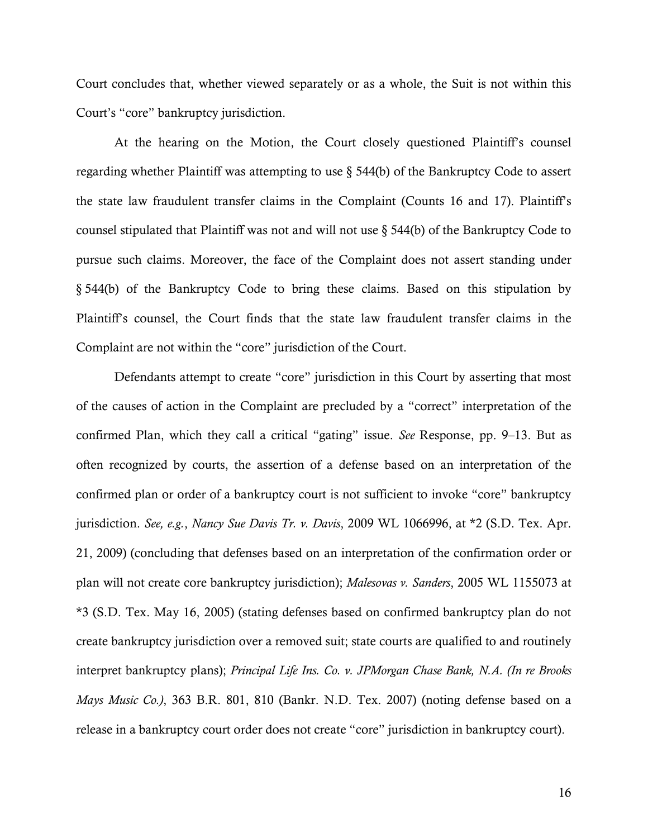Court concludes that, whether viewed separately or as a whole, the Suit is not within this Court's "core" bankruptcy jurisdiction.

At the hearing on the Motion, the Court closely questioned Plaintiff's counsel regarding whether Plaintiff was attempting to use § 544(b) of the Bankruptcy Code to assert the state law fraudulent transfer claims in the Complaint (Counts 16 and 17). Plaintiff's counsel stipulated that Plaintiff was not and will not use § 544(b) of the Bankruptcy Code to pursue such claims. Moreover, the face of the Complaint does not assert standing under § 544(b) of the Bankruptcy Code to bring these claims. Based on this stipulation by Plaintiff's counsel, the Court finds that the state law fraudulent transfer claims in the Complaint are not within the "core" jurisdiction of the Court.

Defendants attempt to create "core" jurisdiction in this Court by asserting that most of the causes of action in the Complaint are precluded by a "correct" interpretation of the confirmed Plan, which they call a critical "gating" issue. *See* Response, pp. 9–13. But as often recognized by courts, the assertion of a defense based on an interpretation of the confirmed plan or order of a bankruptcy court is not sufficient to invoke "core" bankruptcy jurisdiction. *See, e.g.*, *Nancy Sue Davis Tr. v. Davis*, 2009 WL 1066996, at \*2 (S.D. Tex. Apr. 21, 2009) (concluding that defenses based on an interpretation of the confirmation order or plan will not create core bankruptcy jurisdiction); *Malesovas v. Sanders*, 2005 WL 1155073 at \*3 (S.D. Tex. May 16, 2005) (stating defenses based on confirmed bankruptcy plan do not create bankruptcy jurisdiction over a removed suit; state courts are qualified to and routinely interpret bankruptcy plans); *Principal Life Ins. Co. v. JPMorgan Chase Bank, N.A. (In re Brooks Mays Music Co.)*, 363 B.R. 801, 810 (Bankr. N.D. Tex. 2007) (noting defense based on a release in a bankruptcy court order does not create "core" jurisdiction in bankruptcy court).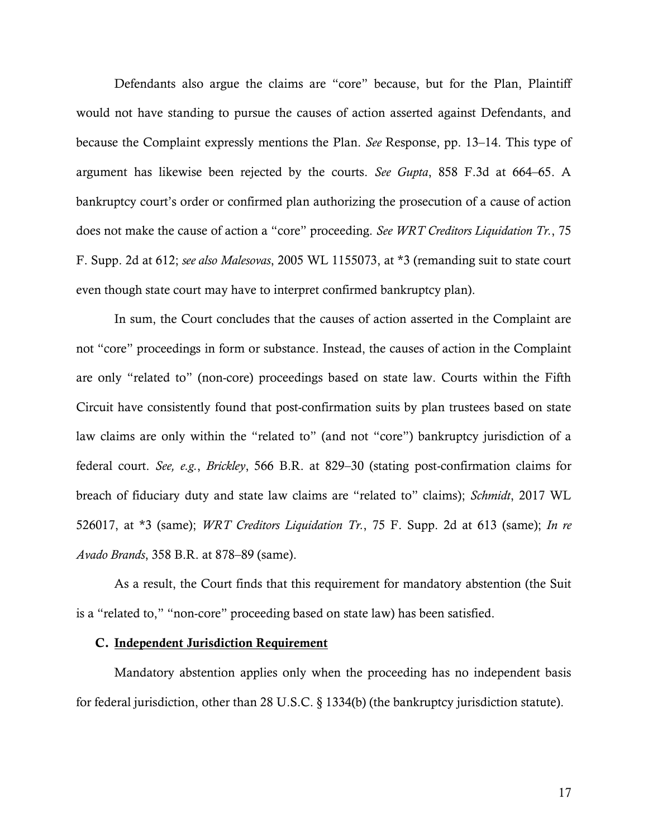Defendants also argue the claims are "core" because, but for the Plan, Plaintiff would not have standing to pursue the causes of action asserted against Defendants, and because the Complaint expressly mentions the Plan. *See* Response, pp. 13–14. This type of argument has likewise been rejected by the courts. *See Gupta*, 858 F.3d at 664–65. A bankruptcy court's order or confirmed plan authorizing the prosecution of a cause of action does not make the cause of action a "core" proceeding. *See WRT Creditors Liquidation Tr.*, 75 F. Supp. 2d at 612; *see also Malesovas*, 2005 WL 1155073, at \*3 (remanding suit to state court even though state court may have to interpret confirmed bankruptcy plan).

In sum, the Court concludes that the causes of action asserted in the Complaint are not "core" proceedings in form or substance. Instead, the causes of action in the Complaint are only "related to" (non-core) proceedings based on state law. Courts within the Fifth Circuit have consistently found that post-confirmation suits by plan trustees based on state law claims are only within the "related to" (and not "core") bankruptcy jurisdiction of a federal court. *See, e.g.*, *Brickley*, 566 B.R. at 829–30 (stating post-confirmation claims for breach of fiduciary duty and state law claims are "related to" claims); *Schmidt*, 2017 WL 526017, at \*3 (same); *WRT Creditors Liquidation Tr.*, 75 F. Supp. 2d at 613 (same); *In re Avado Brands*, 358 B.R. at 878–89 (same).

As a result, the Court finds that this requirement for mandatory abstention (the Suit is a "related to," "non-core" proceeding based on state law) has been satisfied.

#### C. Independent Jurisdiction Requirement

 Mandatory abstention applies only when the proceeding has no independent basis for federal jurisdiction, other than 28 U.S.C. § 1334(b) (the bankruptcy jurisdiction statute).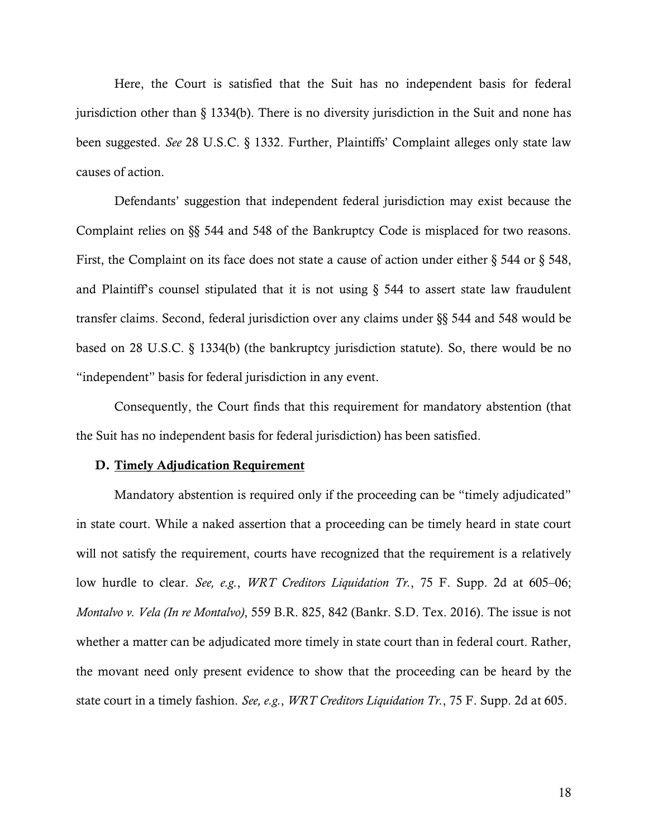Here, the Court is satisfied that the Suit has no independent basis for federal jurisdiction other than § 1334(b). There is no diversity jurisdiction in the Suit and none has been suggested. *See* 28 U.S.C. § 1332. Further, Plaintiffs' Complaint alleges only state law causes of action.

Defendants' suggestion that independent federal jurisdiction may exist because the Complaint relies on §§ 544 and 548 of the Bankruptcy Code is misplaced for two reasons. First, the Complaint on its face does not state a cause of action under either  $\S$  544 or  $\S$  548, and Plaintiff's counsel stipulated that it is not using  $\S$  544 to assert state law fraudulent transfer claims. Second, federal jurisdiction over any claims under §§ 544 and 548 would be based on 28 U.S.C. § 1334(b) (the bankruptcy jurisdiction statute). So, there would be no "independent" basis for federal jurisdiction in any event.

Consequently, the Court finds that this requirement for mandatory abstention (that the Suit has no independent basis for federal jurisdiction) has been satisfied.

### D. Timely Adjudication Requirement

 Mandatory abstention is required only if the proceeding can be "timely adjudicated" in state court. While a naked assertion that a proceeding can be timely heard in state court will not satisfy the requirement, courts have recognized that the requirement is a relatively low hurdle to clear. *See, e.g.*, *WRT Creditors Liquidation Tr.*, 75 F. Supp. 2d at 605–06; *Montalvo v. Vela (In re Montalvo)*, 559 B.R. 825, 842 (Bankr. S.D. Tex. 2016). The issue is not whether a matter can be adjudicated more timely in state court than in federal court. Rather, the movant need only present evidence to show that the proceeding can be heard by the state court in a timely fashion. *See, e.g.*, *WRT Creditors Liquidation Tr.*, 75 F. Supp. 2d at 605.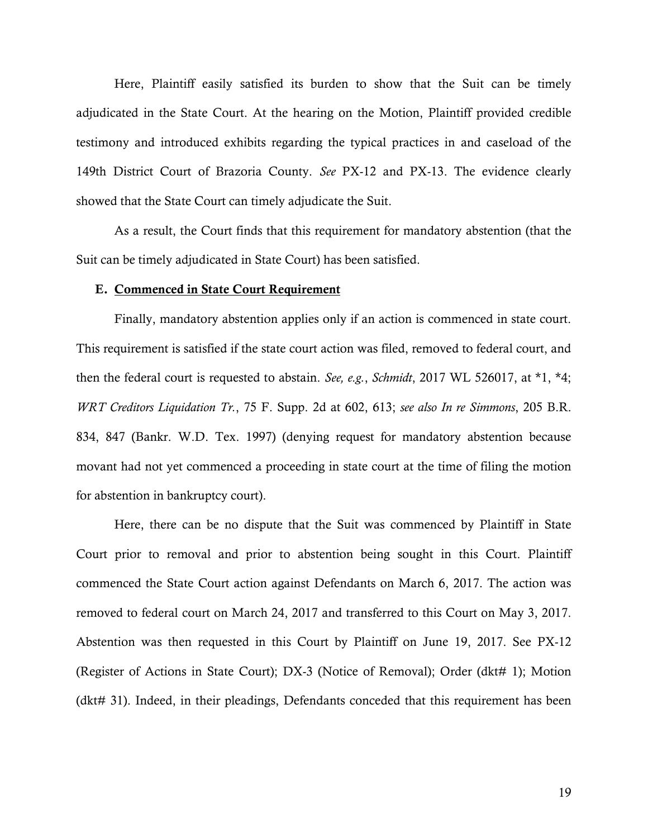Here, Plaintiff easily satisfied its burden to show that the Suit can be timely adjudicated in the State Court. At the hearing on the Motion, Plaintiff provided credible testimony and introduced exhibits regarding the typical practices in and caseload of the 149th District Court of Brazoria County. *See* PX-12 and PX-13. The evidence clearly showed that the State Court can timely adjudicate the Suit.

As a result, the Court finds that this requirement for mandatory abstention (that the Suit can be timely adjudicated in State Court) has been satisfied.

#### E. Commenced in State Court Requirement

Finally, mandatory abstention applies only if an action is commenced in state court. This requirement is satisfied if the state court action was filed, removed to federal court, and then the federal court is requested to abstain. *See, e.g.*, *Schmidt*, 2017 WL 526017, at \*1, \*4; *WRT Creditors Liquidation Tr.*, 75 F. Supp. 2d at 602, 613; *see also In re Simmons*, 205 B.R. 834, 847 (Bankr. W.D. Tex. 1997) (denying request for mandatory abstention because movant had not yet commenced a proceeding in state court at the time of filing the motion for abstention in bankruptcy court).

Here, there can be no dispute that the Suit was commenced by Plaintiff in State Court prior to removal and prior to abstention being sought in this Court. Plaintiff commenced the State Court action against Defendants on March 6, 2017. The action was removed to federal court on March 24, 2017 and transferred to this Court on May 3, 2017. Abstention was then requested in this Court by Plaintiff on June 19, 2017. See PX-12 (Register of Actions in State Court); DX-3 (Notice of Removal); Order (dkt# 1); Motion (dkt# 31). Indeed, in their pleadings, Defendants conceded that this requirement has been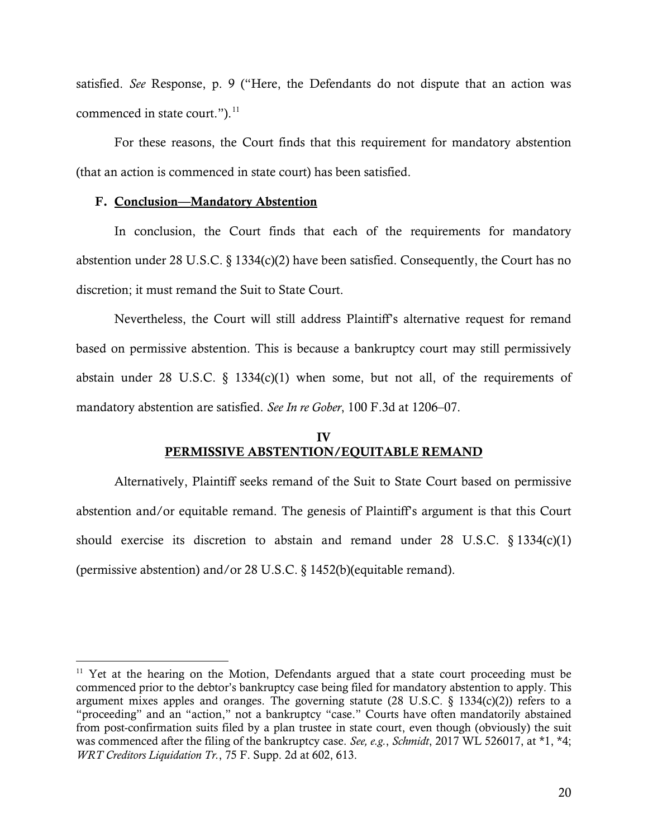satisfied. *See* Response, p. 9 ("Here, the Defendants do not dispute that an action was commenced in state court." $)$ .<sup>11</sup>

For these reasons, the Court finds that this requirement for mandatory abstention (that an action is commenced in state court) has been satisfied.

#### F. Conclusion—Mandatory Abstention

 $\overline{a}$ 

In conclusion, the Court finds that each of the requirements for mandatory abstention under 28 U.S.C.  $\S 1334(c)(2)$  have been satisfied. Consequently, the Court has no discretion; it must remand the Suit to State Court.

 Nevertheless, the Court will still address Plaintiff's alternative request for remand based on permissive abstention. This is because a bankruptcy court may still permissively abstain under 28 U.S.C.  $\S$  1334(c)(1) when some, but not all, of the requirements of mandatory abstention are satisfied. *See In re Gober*, 100 F.3d at 1206–07.

# IV PERMISSIVE ABSTENTION/EQUITABLE REMAND

Alternatively, Plaintiff seeks remand of the Suit to State Court based on permissive abstention and/or equitable remand. The genesis of Plaintiff's argument is that this Court should exercise its discretion to abstain and remand under 28 U.S.C. § 1334(c)(1) (permissive abstention) and/or 28 U.S.C. § 1452(b)(equitable remand).

 $11$  Yet at the hearing on the Motion, Defendants argued that a state court proceeding must be commenced prior to the debtor's bankruptcy case being filed for mandatory abstention to apply. This argument mixes apples and oranges. The governing statute (28 U.S.C.  $\S$  1334(c)(2)) refers to a "proceeding" and an "action," not a bankruptcy "case." Courts have often mandatorily abstained from post-confirmation suits filed by a plan trustee in state court, even though (obviously) the suit was commenced after the filing of the bankruptcy case. *See, e.g.*, *Schmidt*, 2017 WL 526017, at \*1, \*4; *WRT Creditors Liquidation Tr.*, 75 F. Supp. 2d at 602, 613.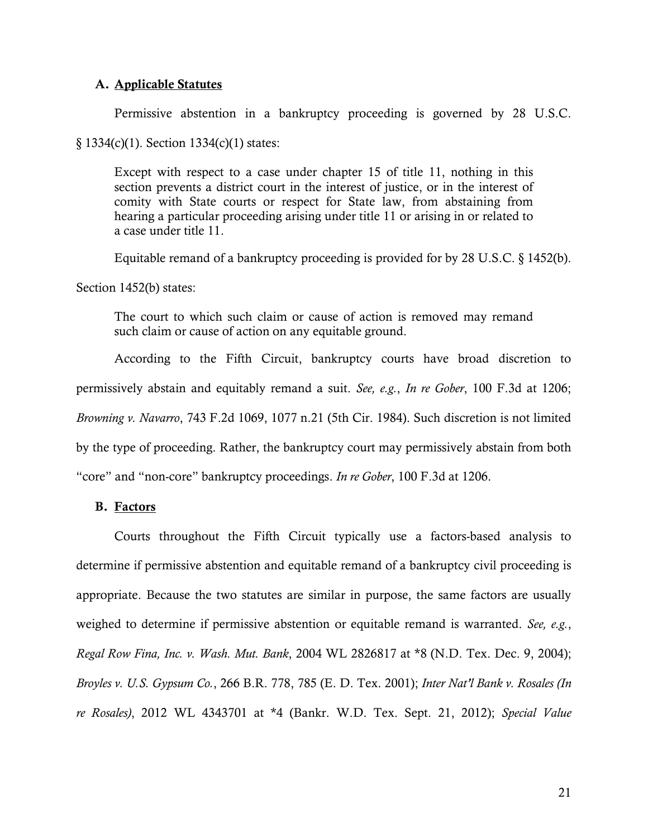### A. Applicable Statutes

Permissive abstention in a bankruptcy proceeding is governed by 28 U.S.C.

§ 1334(c)(1). Section 1334(c)(1) states:

Except with respect to a case under chapter 15 of title 11, nothing in this section prevents a district court in the interest of justice, or in the interest of comity with State courts or respect for State law, from abstaining from hearing a particular proceeding arising under title 11 or arising in or related to a case under title 11.

Equitable remand of a bankruptcy proceeding is provided for by 28 U.S.C. § 1452(b).

Section 1452(b) states:

The court to which such claim or cause of action is removed may remand such claim or cause of action on any equitable ground.

According to the Fifth Circuit, bankruptcy courts have broad discretion to permissively abstain and equitably remand a suit. *See, e.g.*, *In re Gober*, 100 F.3d at 1206; *Browning v. Navarro*, 743 F.2d 1069, 1077 n.21 (5th Cir. 1984). Such discretion is not limited by the type of proceeding. Rather, the bankruptcy court may permissively abstain from both "core" and "non-core" bankruptcy proceedings. *In re Gober*, 100 F.3d at 1206.

### B. Factors

 Courts throughout the Fifth Circuit typically use a factors-based analysis to determine if permissive abstention and equitable remand of a bankruptcy civil proceeding is appropriate. Because the two statutes are similar in purpose, the same factors are usually weighed to determine if permissive abstention or equitable remand is warranted. *See, e.g.*, *Regal Row Fina, Inc. v. Wash. Mut. Bank*, 2004 WL 2826817 at \*8 (N.D. Tex. Dec. 9, 2004); *Broyles v. U.S. Gypsum Co.*, 266 B.R. 778, 785 (E. D. Tex. 2001); *Inter Nat'l Bank v. Rosales (In re Rosales)*, 2012 WL 4343701 at \*4 (Bankr. W.D. Tex. Sept. 21, 2012); *Special Value*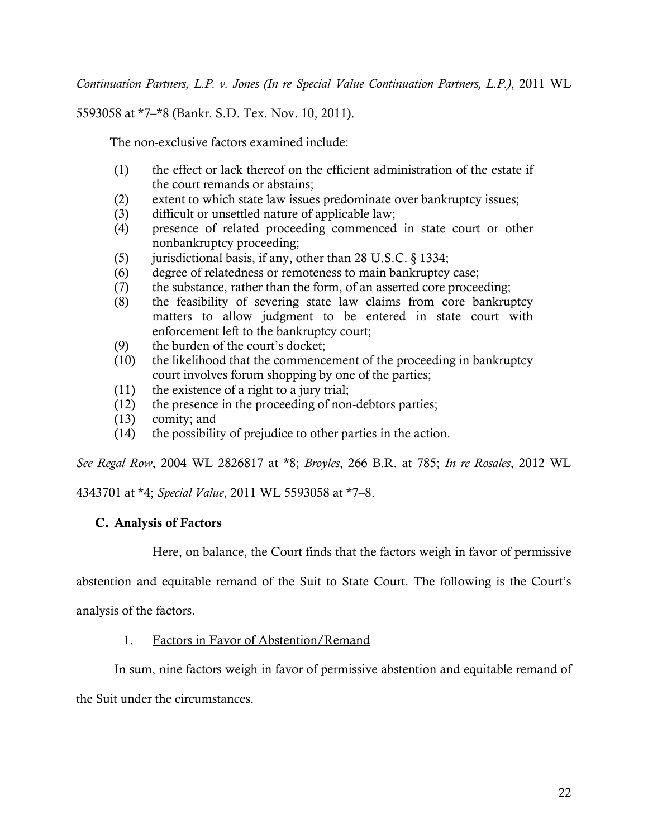*Continuation Partners, L.P. v. Jones (In re Special Value Continuation Partners, L.P.)*, 2011 WL

5593058 at \*7–\*8 (Bankr. S.D. Tex. Nov. 10, 2011).

The non-exclusive factors examined include:

- (1) the effect or lack thereof on the efficient administration of the estate if the court remands or abstains;
- (2) extent to which state law issues predominate over bankruptcy issues;
- (3) difficult or unsettled nature of applicable law;
- (4) presence of related proceeding commenced in state court or other nonbankruptcy proceeding;
- (5) jurisdictional basis, if any, other than 28 U.S.C. § 1334;
- (6) degree of relatedness or remoteness to main bankruptcy case;
- (7) the substance, rather than the form, of an asserted core proceeding;
- (8) the feasibility of severing state law claims from core bankruptcy matters to allow judgment to be entered in state court with enforcement left to the bankruptcy court;
- (9) the burden of the court's docket;
- (10) the likelihood that the commencement of the proceeding in bankruptcy court involves forum shopping by one of the parties;
- (11) the existence of a right to a jury trial;
- (12) the presence in the proceeding of non-debtors parties;
- (13) comity; and
- (14) the possibility of prejudice to other parties in the action.

*See Regal Row*, 2004 WL 2826817 at \*8; *Broyles*, 266 B.R. at 785; *In re Rosales*, 2012 WL

4343701 at \*4; *Special Value*, 2011 WL 5593058 at \*7–8.

## C. Analysis of Factors

Here, on balance, the Court finds that the factors weigh in favor of permissive

abstention and equitable remand of the Suit to State Court. The following is the Court's

analysis of the factors.

## 1. Factors in Favor of Abstention/Remand

In sum, nine factors weigh in favor of permissive abstention and equitable remand of

the Suit under the circumstances.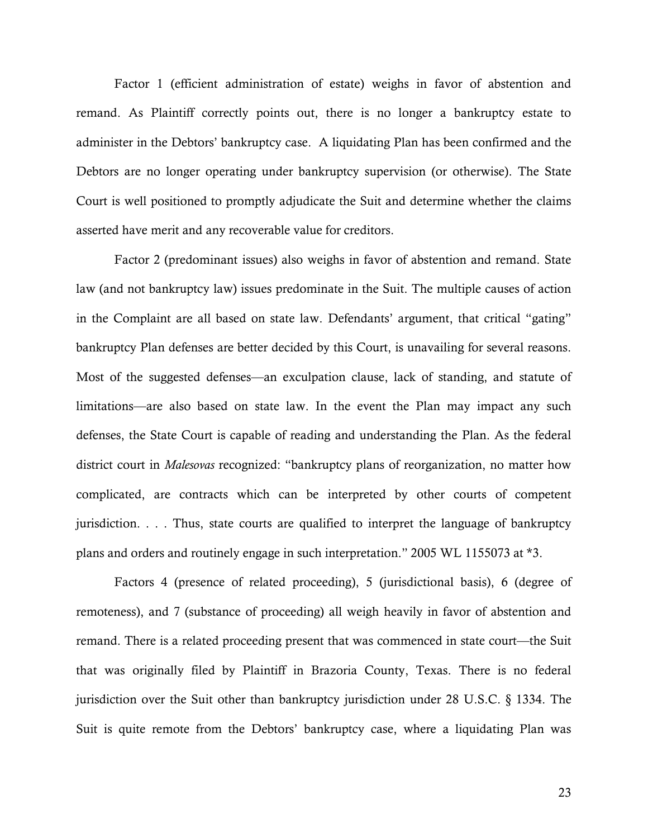Factor 1 (efficient administration of estate) weighs in favor of abstention and remand. As Plaintiff correctly points out, there is no longer a bankruptcy estate to administer in the Debtors' bankruptcy case. A liquidating Plan has been confirmed and the Debtors are no longer operating under bankruptcy supervision (or otherwise). The State Court is well positioned to promptly adjudicate the Suit and determine whether the claims asserted have merit and any recoverable value for creditors.

Factor 2 (predominant issues) also weighs in favor of abstention and remand. State law (and not bankruptcy law) issues predominate in the Suit. The multiple causes of action in the Complaint are all based on state law. Defendants' argument, that critical "gating" bankruptcy Plan defenses are better decided by this Court, is unavailing for several reasons. Most of the suggested defenses—an exculpation clause, lack of standing, and statute of limitations—are also based on state law. In the event the Plan may impact any such defenses, the State Court is capable of reading and understanding the Plan. As the federal district court in *Malesovas* recognized: "bankruptcy plans of reorganization, no matter how complicated, are contracts which can be interpreted by other courts of competent jurisdiction. . . . Thus, state courts are qualified to interpret the language of bankruptcy plans and orders and routinely engage in such interpretation." 2005 WL 1155073 at \*3.

Factors 4 (presence of related proceeding), 5 (jurisdictional basis), 6 (degree of remoteness), and 7 (substance of proceeding) all weigh heavily in favor of abstention and remand. There is a related proceeding present that was commenced in state court—the Suit that was originally filed by Plaintiff in Brazoria County, Texas. There is no federal jurisdiction over the Suit other than bankruptcy jurisdiction under 28 U.S.C. § 1334. The Suit is quite remote from the Debtors' bankruptcy case, where a liquidating Plan was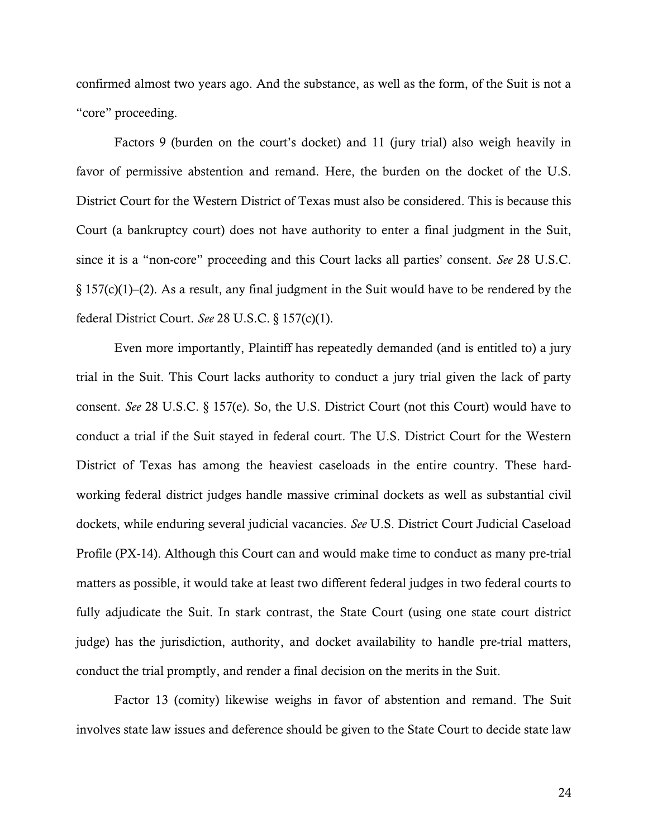confirmed almost two years ago. And the substance, as well as the form, of the Suit is not a "core" proceeding.

Factors 9 (burden on the court's docket) and 11 (jury trial) also weigh heavily in favor of permissive abstention and remand. Here, the burden on the docket of the U.S. District Court for the Western District of Texas must also be considered. This is because this Court (a bankruptcy court) does not have authority to enter a final judgment in the Suit, since it is a "non-core" proceeding and this Court lacks all parties' consent. *See* 28 U.S.C. § 157(c)(1)–(2). As a result, any final judgment in the Suit would have to be rendered by the federal District Court. *See* 28 U.S.C. § 157(c)(1).

Even more importantly, Plaintiff has repeatedly demanded (and is entitled to) a jury trial in the Suit. This Court lacks authority to conduct a jury trial given the lack of party consent. *See* 28 U.S.C. § 157(e). So, the U.S. District Court (not this Court) would have to conduct a trial if the Suit stayed in federal court. The U.S. District Court for the Western District of Texas has among the heaviest caseloads in the entire country. These hardworking federal district judges handle massive criminal dockets as well as substantial civil dockets, while enduring several judicial vacancies. *See* U.S. District Court Judicial Caseload Profile (PX-14). Although this Court can and would make time to conduct as many pre-trial matters as possible, it would take at least two different federal judges in two federal courts to fully adjudicate the Suit. In stark contrast, the State Court (using one state court district judge) has the jurisdiction, authority, and docket availability to handle pre-trial matters, conduct the trial promptly, and render a final decision on the merits in the Suit.

Factor 13 (comity) likewise weighs in favor of abstention and remand. The Suit involves state law issues and deference should be given to the State Court to decide state law

24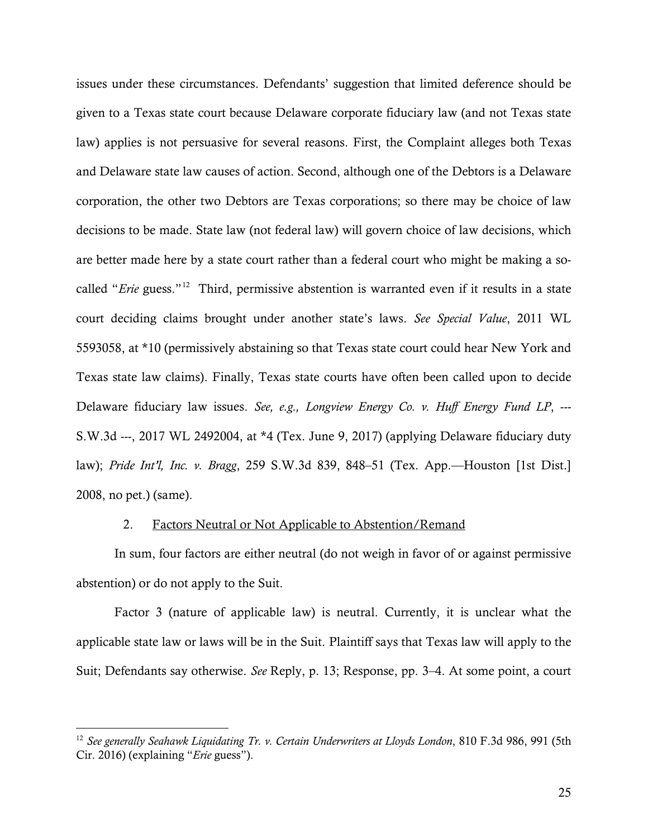issues under these circumstances. Defendants' suggestion that limited deference should be given to a Texas state court because Delaware corporate fiduciary law (and not Texas state law) applies is not persuasive for several reasons. First, the Complaint alleges both Texas and Delaware state law causes of action. Second, although one of the Debtors is a Delaware corporation, the other two Debtors are Texas corporations; so there may be choice of law decisions to be made. State law (not federal law) will govern choice of law decisions, which are better made here by a state court rather than a federal court who might be making a socalled "*Erie* guess."<sup>12</sup> Third, permissive abstention is warranted even if it results in a state court deciding claims brought under another state's laws. *See Special Value*, 2011 WL 5593058, at \*10 (permissively abstaining so that Texas state court could hear New York and Texas state law claims). Finally, Texas state courts have often been called upon to decide Delaware fiduciary law issues. *See, e.g., Longview Energy Co. v. Huff Energy Fund LP*, --- S.W.3d ---, 2017 WL 2492004, at \*4 (Tex. June 9, 2017) (applying Delaware fiduciary duty law); *Pride Int'l, Inc. v. Bragg*, 259 S.W.3d 839, 848–51 (Tex. App.—Houston [1st Dist.] 2008, no pet.) (same).

### 2. Factors Neutral or Not Applicable to Abstention/Remand

In sum, four factors are either neutral (do not weigh in favor of or against permissive abstention) or do not apply to the Suit.

Factor 3 (nature of applicable law) is neutral. Currently, it is unclear what the applicable state law or laws will be in the Suit. Plaintiff says that Texas law will apply to the Suit; Defendants say otherwise. *See* Reply, p. 13; Response, pp. 3–4. At some point, a court

 $\overline{a}$ 

<sup>12</sup> *See generally Seahawk Liquidating Tr. v. Certain Underwriters at Lloyds London*, 810 F.3d 986, 991 (5th Cir. 2016) (explaining "*Erie* guess").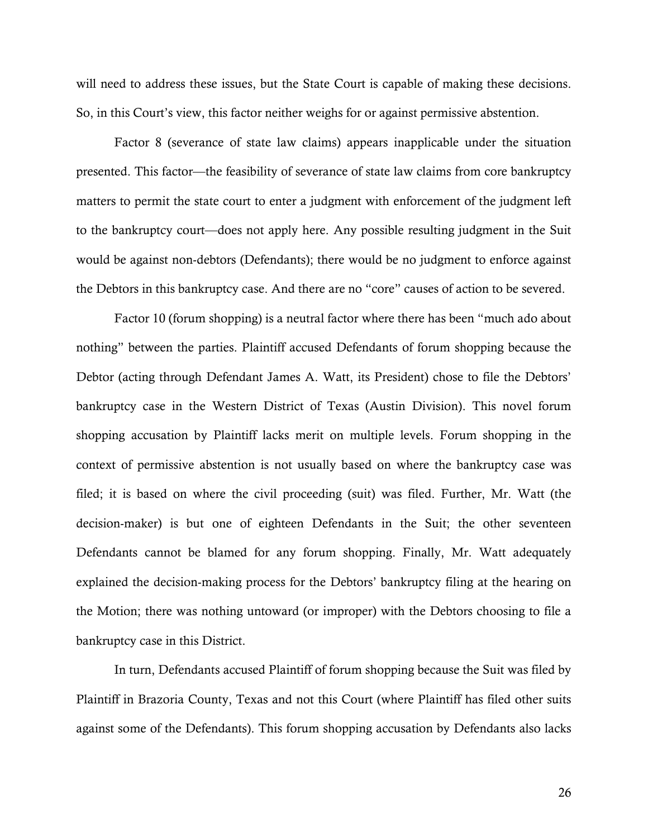will need to address these issues, but the State Court is capable of making these decisions. So, in this Court's view, this factor neither weighs for or against permissive abstention.

Factor 8 (severance of state law claims) appears inapplicable under the situation presented. This factor—the feasibility of severance of state law claims from core bankruptcy matters to permit the state court to enter a judgment with enforcement of the judgment left to the bankruptcy court—does not apply here. Any possible resulting judgment in the Suit would be against non-debtors (Defendants); there would be no judgment to enforce against the Debtors in this bankruptcy case. And there are no "core" causes of action to be severed.

 Factor 10 (forum shopping) is a neutral factor where there has been "much ado about nothing" between the parties. Plaintiff accused Defendants of forum shopping because the Debtor (acting through Defendant James A. Watt, its President) chose to file the Debtors' bankruptcy case in the Western District of Texas (Austin Division). This novel forum shopping accusation by Plaintiff lacks merit on multiple levels. Forum shopping in the context of permissive abstention is not usually based on where the bankruptcy case was filed; it is based on where the civil proceeding (suit) was filed. Further, Mr. Watt (the decision-maker) is but one of eighteen Defendants in the Suit; the other seventeen Defendants cannot be blamed for any forum shopping. Finally, Mr. Watt adequately explained the decision-making process for the Debtors' bankruptcy filing at the hearing on the Motion; there was nothing untoward (or improper) with the Debtors choosing to file a bankruptcy case in this District.

In turn, Defendants accused Plaintiff of forum shopping because the Suit was filed by Plaintiff in Brazoria County, Texas and not this Court (where Plaintiff has filed other suits against some of the Defendants). This forum shopping accusation by Defendants also lacks

26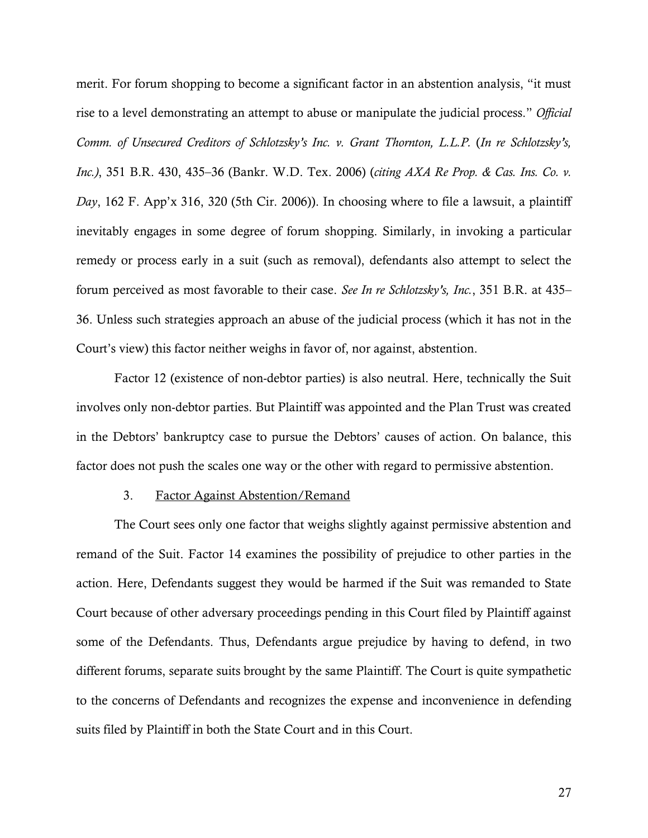merit. For forum shopping to become a significant factor in an abstention analysis, "it must rise to a level demonstrating an attempt to abuse or manipulate the judicial process." *Official Comm. of Unsecured Creditors of Schlotzsky's Inc. v. Grant Thornton, L.L.P.* (*In re Schlotzsky's, Inc.)*, 351 B.R. 430, 435–36 (Bankr. W.D. Tex. 2006) (*citing AXA Re Prop. & Cas. Ins. Co. v. Day*, 162 F. App'x 316, 320 (5th Cir. 2006)). In choosing where to file a lawsuit, a plaintiff inevitably engages in some degree of forum shopping. Similarly, in invoking a particular remedy or process early in a suit (such as removal), defendants also attempt to select the forum perceived as most favorable to their case. *See In re Schlotzsky's, Inc.*, 351 B.R. at 435– 36. Unless such strategies approach an abuse of the judicial process (which it has not in the Court's view) this factor neither weighs in favor of, nor against, abstention.

Factor 12 (existence of non-debtor parties) is also neutral. Here, technically the Suit involves only non-debtor parties. But Plaintiff was appointed and the Plan Trust was created in the Debtors' bankruptcy case to pursue the Debtors' causes of action. On balance, this factor does not push the scales one way or the other with regard to permissive abstention.

#### 3. Factor Against Abstention/Remand

The Court sees only one factor that weighs slightly against permissive abstention and remand of the Suit. Factor 14 examines the possibility of prejudice to other parties in the action. Here, Defendants suggest they would be harmed if the Suit was remanded to State Court because of other adversary proceedings pending in this Court filed by Plaintiff against some of the Defendants. Thus, Defendants argue prejudice by having to defend, in two different forums, separate suits brought by the same Plaintiff. The Court is quite sympathetic to the concerns of Defendants and recognizes the expense and inconvenience in defending suits filed by Plaintiff in both the State Court and in this Court.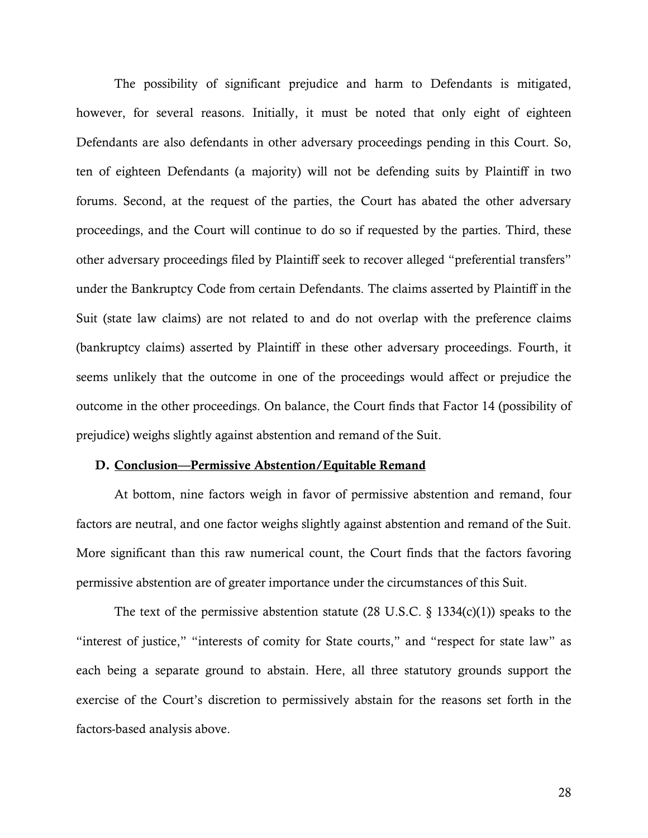The possibility of significant prejudice and harm to Defendants is mitigated, however, for several reasons. Initially, it must be noted that only eight of eighteen Defendants are also defendants in other adversary proceedings pending in this Court. So, ten of eighteen Defendants (a majority) will not be defending suits by Plaintiff in two forums. Second, at the request of the parties, the Court has abated the other adversary proceedings, and the Court will continue to do so if requested by the parties. Third, these other adversary proceedings filed by Plaintiff seek to recover alleged "preferential transfers" under the Bankruptcy Code from certain Defendants. The claims asserted by Plaintiff in the Suit (state law claims) are not related to and do not overlap with the preference claims (bankruptcy claims) asserted by Plaintiff in these other adversary proceedings. Fourth, it seems unlikely that the outcome in one of the proceedings would affect or prejudice the outcome in the other proceedings. On balance, the Court finds that Factor 14 (possibility of prejudice) weighs slightly against abstention and remand of the Suit.

### D. Conclusion—Permissive Abstention/Equitable Remand

At bottom, nine factors weigh in favor of permissive abstention and remand, four factors are neutral, and one factor weighs slightly against abstention and remand of the Suit. More significant than this raw numerical count, the Court finds that the factors favoring permissive abstention are of greater importance under the circumstances of this Suit.

The text of the permissive abstention statute (28 U.S.C.  $\S$  1334(c)(1)) speaks to the "interest of justice," "interests of comity for State courts," and "respect for state law" as each being a separate ground to abstain. Here, all three statutory grounds support the exercise of the Court's discretion to permissively abstain for the reasons set forth in the factors-based analysis above.